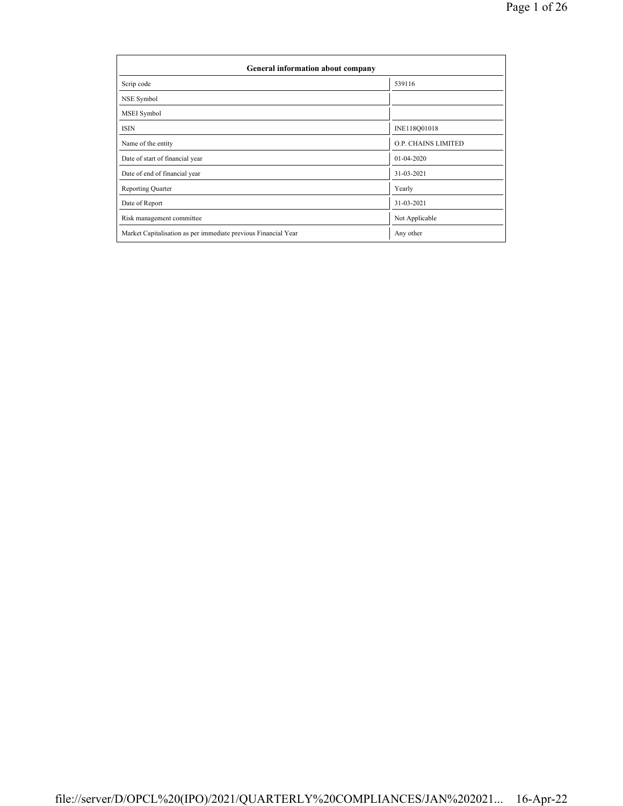| General information about company                              |                            |  |  |  |  |  |  |
|----------------------------------------------------------------|----------------------------|--|--|--|--|--|--|
| Scrip code                                                     | 539116                     |  |  |  |  |  |  |
| NSE Symbol                                                     |                            |  |  |  |  |  |  |
| MSEI Symbol                                                    |                            |  |  |  |  |  |  |
| <b>ISIN</b>                                                    | INE118Q01018               |  |  |  |  |  |  |
| Name of the entity                                             | <b>O.P. CHAINS LIMITED</b> |  |  |  |  |  |  |
| Date of start of financial year                                | 01-04-2020                 |  |  |  |  |  |  |
| Date of end of financial year                                  | 31-03-2021                 |  |  |  |  |  |  |
| <b>Reporting Quarter</b>                                       | Yearly                     |  |  |  |  |  |  |
| Date of Report                                                 | 31-03-2021                 |  |  |  |  |  |  |
| Risk management committee                                      | Not Applicable             |  |  |  |  |  |  |
| Market Capitalisation as per immediate previous Financial Year | Any other                  |  |  |  |  |  |  |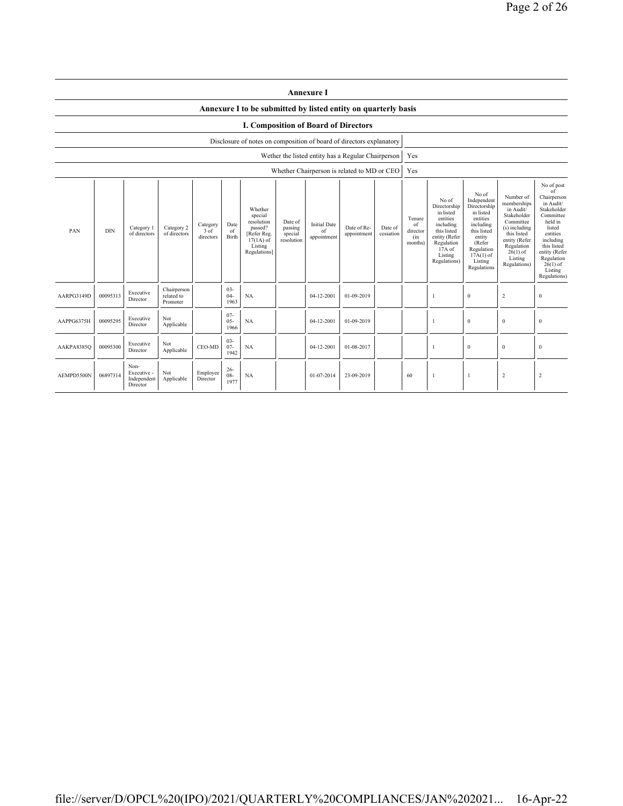|                                             | <b>Annexure I</b> |                                                |                                       |                               |                          |                                                                                                      |                                             |                                                    |                            |                      |                                            |                                                                                                                                                  |                                                                                                                                                                      |                                                                                                                                                                           |                                                                                                                                                                                                               |
|---------------------------------------------|-------------------|------------------------------------------------|---------------------------------------|-------------------------------|--------------------------|------------------------------------------------------------------------------------------------------|---------------------------------------------|----------------------------------------------------|----------------------------|----------------------|--------------------------------------------|--------------------------------------------------------------------------------------------------------------------------------------------------|----------------------------------------------------------------------------------------------------------------------------------------------------------------------|---------------------------------------------------------------------------------------------------------------------------------------------------------------------------|---------------------------------------------------------------------------------------------------------------------------------------------------------------------------------------------------------------|
|                                             |                   |                                                |                                       |                               |                          | Annexure I to be submitted by listed entity on quarterly basis                                       |                                             |                                                    |                            |                      |                                            |                                                                                                                                                  |                                                                                                                                                                      |                                                                                                                                                                           |                                                                                                                                                                                                               |
| <b>I. Composition of Board of Directors</b> |                   |                                                |                                       |                               |                          |                                                                                                      |                                             |                                                    |                            |                      |                                            |                                                                                                                                                  |                                                                                                                                                                      |                                                                                                                                                                           |                                                                                                                                                                                                               |
|                                             |                   |                                                |                                       |                               |                          | Disclosure of notes on composition of board of directors explanatory                                 |                                             |                                                    |                            |                      |                                            |                                                                                                                                                  |                                                                                                                                                                      |                                                                                                                                                                           |                                                                                                                                                                                                               |
|                                             |                   |                                                |                                       |                               |                          |                                                                                                      |                                             | Wether the listed entity has a Regular Chairperson |                            |                      | Yes                                        |                                                                                                                                                  |                                                                                                                                                                      |                                                                                                                                                                           |                                                                                                                                                                                                               |
|                                             |                   |                                                |                                       |                               |                          |                                                                                                      |                                             | Whether Chairperson is related to MD or CEO        |                            |                      | Yes                                        |                                                                                                                                                  |                                                                                                                                                                      |                                                                                                                                                                           |                                                                                                                                                                                                               |
| PAN                                         | <b>DIN</b>        | Category 1<br>of directors                     | Category 2<br>of directors            | Category<br>3 of<br>directors | Date<br>of<br>Birth      | Whether<br>special<br>resolution<br>passed?<br>[Refer Reg.<br>$17(1A)$ of<br>Listing<br>Regulations] | Date of<br>passing<br>special<br>resolution | <b>Initial Date</b><br>of<br>appointment           | Date of Re-<br>appointment | Date of<br>cessation | Tenure<br>of<br>director<br>(in<br>months) | No of<br>Directorship<br>in listed<br>entities<br>including<br>this listed<br>entity (Refer<br>Regulation<br>$17A$ of<br>Listing<br>Regulations) | No of<br>Independent<br>Directorship<br>in listed<br>entities<br>including<br>this listed<br>entity<br>(Refer<br>Regulation<br>$17A(1)$ of<br>Listing<br>Regulations | Number of<br>memberships<br>in Audit/<br>Stakeholder<br>Committee<br>(s) including<br>this listed<br>entity (Refer<br>Regulation<br>$26(1)$ of<br>Listing<br>Regulations) | No of post<br>of<br>Chairperson<br>in Audit/<br>Stakeholder<br>Committee<br>held in<br>listed<br>entities<br>including<br>this listed<br>entity (Refer<br>Regulation<br>$26(1)$ of<br>Listing<br>Regulations) |
| AARPG3149D                                  | 00095313          | Executive<br>Director                          | Chairperson<br>related to<br>Promoter |                               | $03 -$<br>$04-$<br>1963  | NA                                                                                                   |                                             | 04-12-2001                                         | 01-09-2019                 |                      |                                            | -1                                                                                                                                               | $\bf{0}$                                                                                                                                                             | $\sqrt{2}$                                                                                                                                                                | $\boldsymbol{0}$                                                                                                                                                                                              |
| AAPPG6375H                                  | 00095295          | Executive<br>Director                          | Not<br>Applicable                     |                               | $07 -$<br>$05 -$<br>1966 | <b>NA</b>                                                                                            |                                             | 04-12-2001                                         | 01-09-2019                 |                      |                                            | -1                                                                                                                                               | $\mathbf{0}$                                                                                                                                                         | $\mathbf{0}$                                                                                                                                                              | $\mathbf{0}$                                                                                                                                                                                                  |
| AAKPA8385Q                                  | 00095300          | Executive<br>Director                          | Not<br>Applicable                     | CEO-MD                        | $03 -$<br>$07 -$<br>1942 | <b>NA</b>                                                                                            |                                             | 04-12-2001                                         | 01-08-2017                 |                      |                                            | $\overline{1}$                                                                                                                                   | $\bf{0}$                                                                                                                                                             | $\boldsymbol{0}$                                                                                                                                                          | $\mathbf{0}$                                                                                                                                                                                                  |
| AEMPD5500N                                  | 06897314          | Non-<br>Executive -<br>Independent<br>Director | Not<br>Applicable                     | Employee<br>Director          | $26 -$<br>$08 -$<br>1977 | <b>NA</b>                                                                                            |                                             | 01-07-2014                                         | 23-09-2019                 |                      | 60                                         | $\overline{1}$                                                                                                                                   | -1                                                                                                                                                                   | $\overline{c}$                                                                                                                                                            | $\overline{2}$                                                                                                                                                                                                |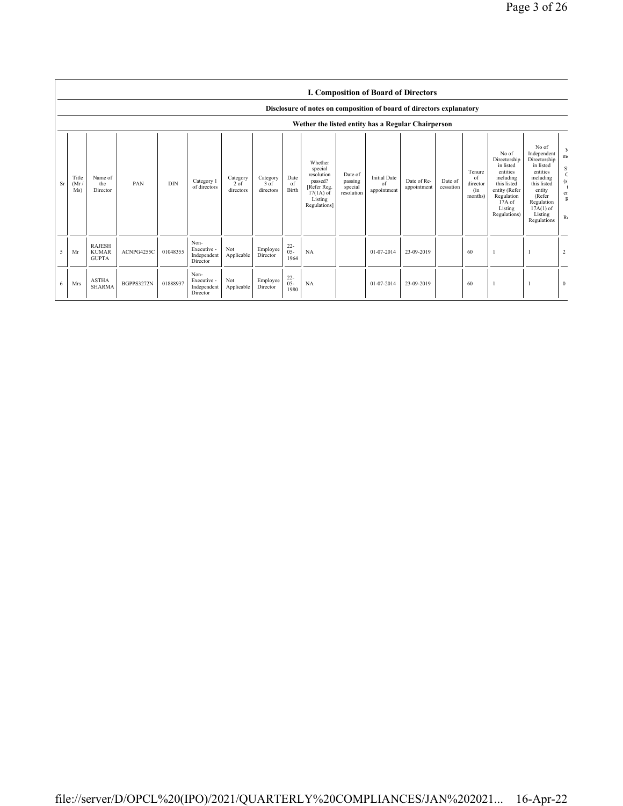|    |                      |                                               |            |            |                                                |                                 |                               |                          |                                                                                                                            |                                             |                                          | <b>I. Composition of Board of Directors</b> |                      |                                            |                                                                                                                                                |                                                                                                                                                                      |                                      |
|----|----------------------|-----------------------------------------------|------------|------------|------------------------------------------------|---------------------------------|-------------------------------|--------------------------|----------------------------------------------------------------------------------------------------------------------------|---------------------------------------------|------------------------------------------|---------------------------------------------|----------------------|--------------------------------------------|------------------------------------------------------------------------------------------------------------------------------------------------|----------------------------------------------------------------------------------------------------------------------------------------------------------------------|--------------------------------------|
|    |                      |                                               |            |            |                                                |                                 |                               |                          | Disclosure of notes on composition of board of directors explanatory<br>Wether the listed entity has a Regular Chairperson |                                             |                                          |                                             |                      |                                            |                                                                                                                                                |                                                                                                                                                                      |                                      |
| Sr | Title<br>(Mr)<br>Ms) | Name of<br>the<br>Director                    | PAN        | <b>DIN</b> | Category 1<br>of directors                     | Category<br>$2$ of<br>directors | Category<br>3 of<br>directors | Date<br>of<br>Birth      | Whether<br>special<br>resolution<br>passed?<br>[Refer Reg.<br>$17(1A)$ of<br>Listing<br>Regulations]                       | Date of<br>passing<br>special<br>resolution | <b>Initial Date</b><br>of<br>appointment | Date of Re-<br>appointment                  | Date of<br>cessation | Tenure<br>of<br>director<br>(in<br>months) | No of<br>Directorship<br>in listed<br>entities<br>including<br>this listed<br>entity (Refer<br>Regulation<br>17A of<br>Listing<br>Regulations) | No of<br>Independent<br>Directorship<br>in listed<br>entities<br>including<br>this listed<br>entity<br>(Refer<br>Regulation<br>$17A(1)$ of<br>Listing<br>Regulations | m <sub>1</sub><br>S<br>er<br>$R_{0}$ |
| 5  | Mr                   | <b>RAJESH</b><br><b>KUMAR</b><br><b>GUPTA</b> | ACNPG4255C | 01048355   | Non-<br>Executive -<br>Independent<br>Director | Not<br>Applicable               | Employee<br>Director          | $22 -$<br>$05 -$<br>1964 | NA                                                                                                                         |                                             | 01-07-2014                               | 23-09-2019                                  |                      | 60                                         |                                                                                                                                                |                                                                                                                                                                      | $\overline{2}$                       |
| 6  | <b>Mrs</b>           | <b>ASTHA</b><br><b>SHARMA</b>                 | BGPPS3272N | 01888937   | Non-<br>Executive -<br>Independent<br>Director | Not<br>Applicable               | Employee<br>Director          | $^{22}_{05}$<br>1980     | NA                                                                                                                         |                                             | 01-07-2014                               | 23-09-2019                                  |                      | 60                                         |                                                                                                                                                |                                                                                                                                                                      | $\mathbf{0}$                         |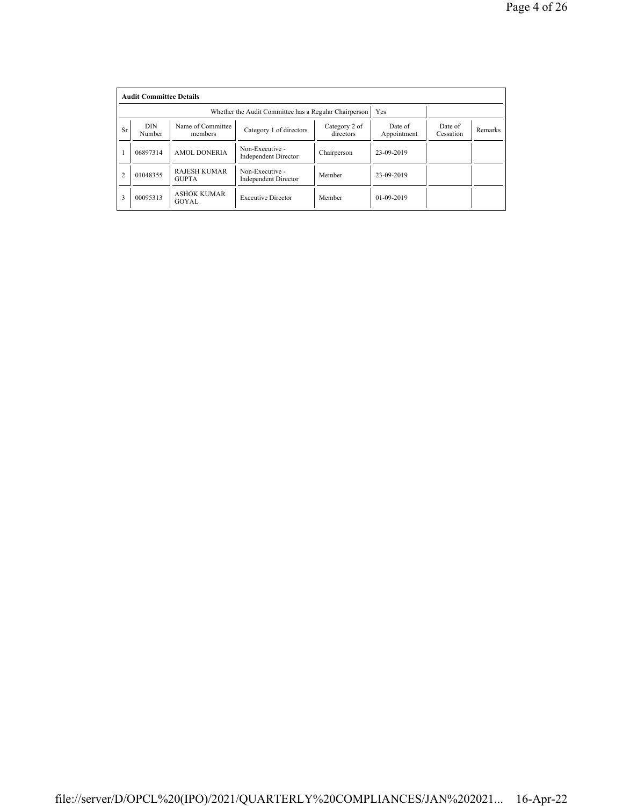|                | <b>Audit Committee Details</b> |                                     |                                                       |                            |                        |                      |         |
|----------------|--------------------------------|-------------------------------------|-------------------------------------------------------|----------------------------|------------------------|----------------------|---------|
|                |                                |                                     | Whether the Audit Committee has a Regular Chairperson |                            | Yes                    |                      |         |
| <b>Sr</b>      | <b>DIN</b><br>Number           | Name of Committee<br>members        | Category 1 of directors                               | Category 2 of<br>directors | Date of<br>Appointment | Date of<br>Cessation | Remarks |
|                | 06897314                       | <b>AMOL DONERIA</b>                 | Non-Executive -<br><b>Independent Director</b>        | Chairperson                | 23-09-2019             |                      |         |
| $\overline{2}$ | 01048355                       | <b>RAJESH KUMAR</b><br><b>GUPTA</b> | Non-Executive -<br><b>Independent Director</b>        | Member                     | 23-09-2019             |                      |         |
| 3              | 00095313                       | <b>ASHOK KUMAR</b><br>GOYAL         | <b>Executive Director</b>                             | Member                     | $01 - 09 - 2019$       |                      |         |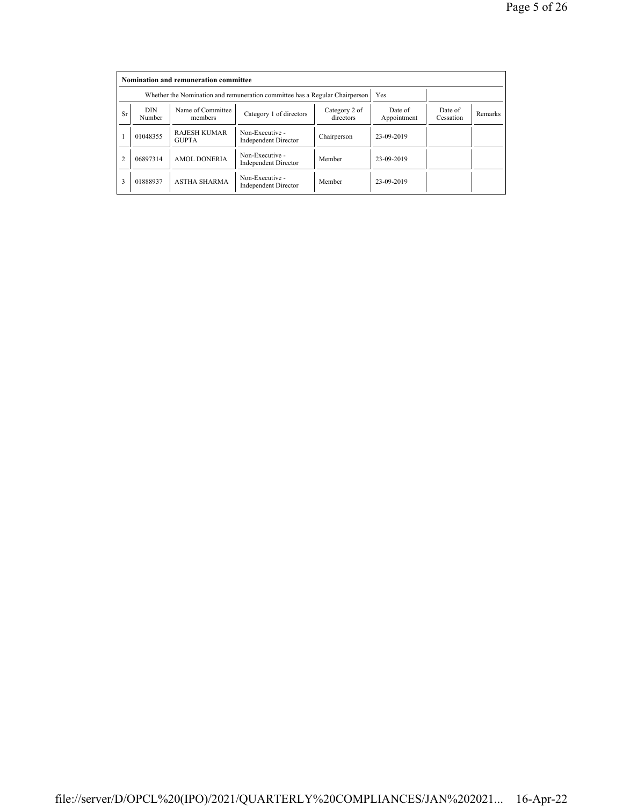|                |                      | Nomination and remuneration committee                                       |                                                |                        |                      |         |  |
|----------------|----------------------|-----------------------------------------------------------------------------|------------------------------------------------|------------------------|----------------------|---------|--|
|                |                      | Whether the Nomination and remuneration committee has a Regular Chairperson |                                                | Yes                    |                      |         |  |
| <b>Sr</b>      | <b>DIN</b><br>Number | Name of Committee<br>members                                                | Category 2 of<br>directors                     | Date of<br>Appointment | Date of<br>Cessation | Remarks |  |
|                | 01048355             | <b>RAJESH KUMAR</b><br><b>GUPTA</b>                                         | Non-Executive -<br><b>Independent Director</b> | Chairperson            | 23-09-2019           |         |  |
| $\overline{c}$ | 06897314             | <b>AMOL DONERIA</b>                                                         | Non-Executive -<br><b>Independent Director</b> | Member                 | 23-09-2019           |         |  |
| 3              | 01888937             | <b>ASTHA SHARMA</b>                                                         | Non-Executive -<br><b>Independent Director</b> | Member                 | 23-09-2019           |         |  |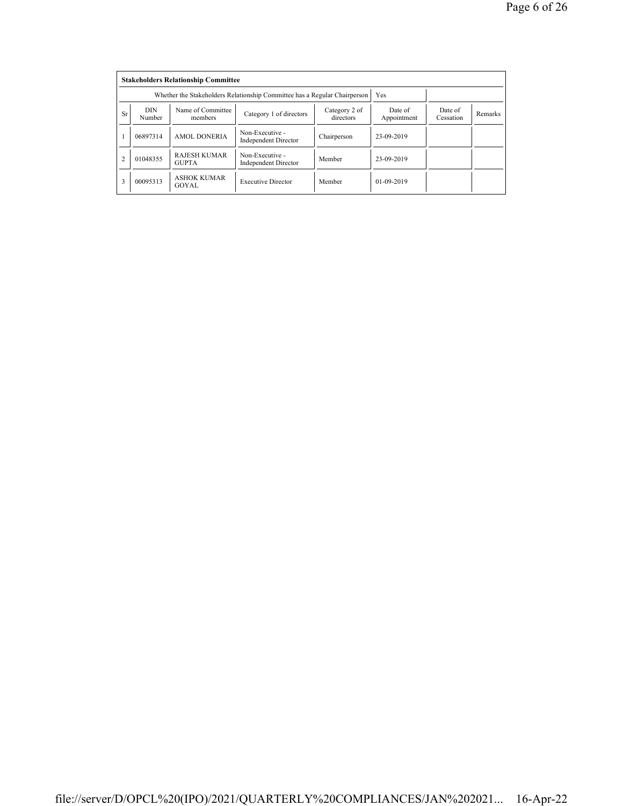|                | <b>Stakeholders Relationship Committee</b> |                                                                           |                                                |                      |              |  |  |  |  |  |  |  |
|----------------|--------------------------------------------|---------------------------------------------------------------------------|------------------------------------------------|----------------------|--------------|--|--|--|--|--|--|--|
|                |                                            | Whether the Stakeholders Relationship Committee has a Regular Chairperson |                                                | Yes                  |              |  |  |  |  |  |  |  |
| <b>Sr</b>      | <b>DIN</b><br>Number                       | Name of Committee<br>members                                              | Date of<br>Appointment                         | Date of<br>Cessation | Remarks      |  |  |  |  |  |  |  |
|                | 06897314                                   | <b>AMOL DONERIA</b>                                                       | Non-Executive -<br><b>Independent Director</b> | Chairperson          | 23-09-2019   |  |  |  |  |  |  |  |
| $\overline{c}$ | 01048355                                   | <b>RAJESH KUMAR</b><br><b>GUPTA</b>                                       | Non-Executive -<br><b>Independent Director</b> | Member               | 23-09-2019   |  |  |  |  |  |  |  |
| 3              | 00095313                                   | <b>ASHOK KUMAR</b><br>GOYAL                                               | <b>Executive Director</b>                      | Member               | $01-09-2019$ |  |  |  |  |  |  |  |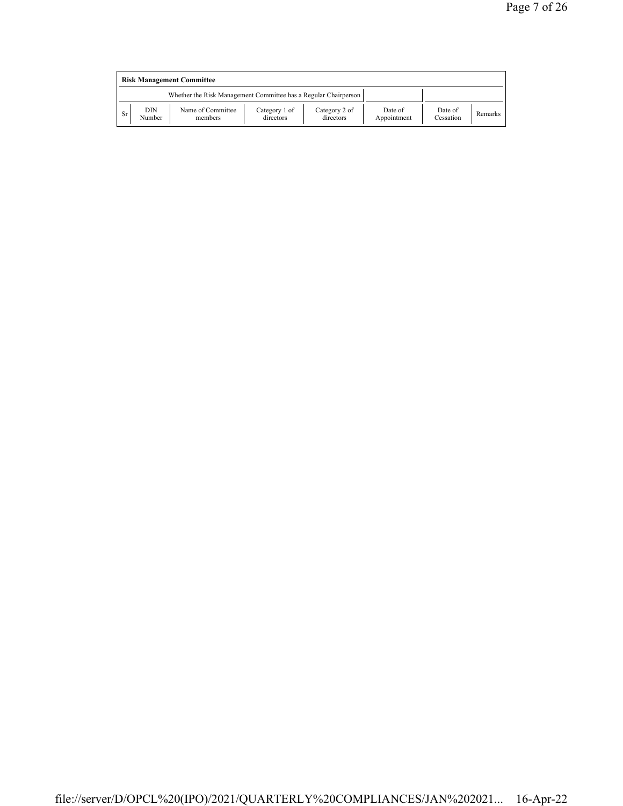|    | <b>Risk Management Committee</b> |                                                                 |                            |                            |                        |                      |         |  |  |  |  |
|----|----------------------------------|-----------------------------------------------------------------|----------------------------|----------------------------|------------------------|----------------------|---------|--|--|--|--|
|    |                                  | Whether the Risk Management Committee has a Regular Chairperson |                            |                            |                        |                      |         |  |  |  |  |
| Sr | DIN<br>Number                    | Name of Committee<br>members                                    | Category 1 of<br>directors | Category 2 of<br>directors | Date of<br>Appointment | Date of<br>Cessation | Remarks |  |  |  |  |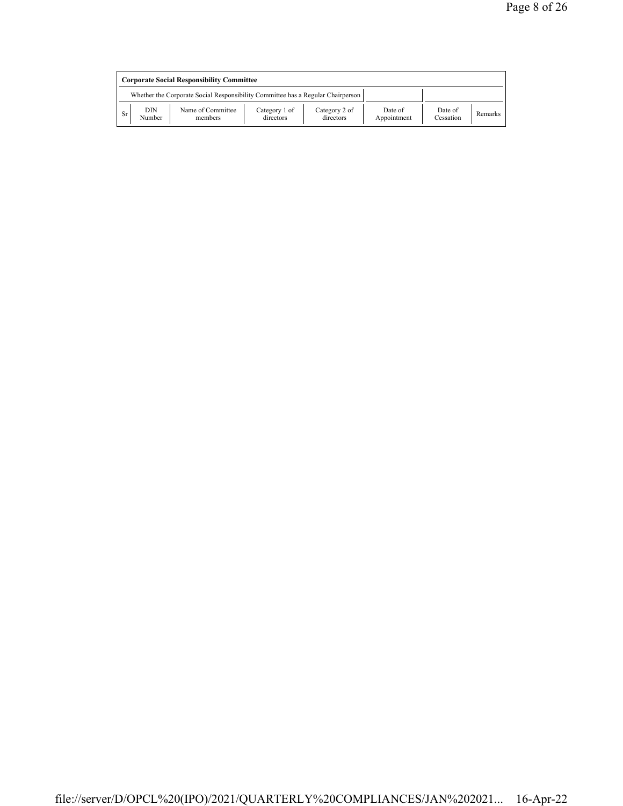|                                                                                 | <b>Corporate Social Responsibility Committee</b> |                              |                            |                            |                        |                      |         |  |  |  |  |
|---------------------------------------------------------------------------------|--------------------------------------------------|------------------------------|----------------------------|----------------------------|------------------------|----------------------|---------|--|--|--|--|
| Whether the Corporate Social Responsibility Committee has a Regular Chairperson |                                                  |                              |                            |                            |                        |                      |         |  |  |  |  |
| Sr                                                                              | DIN<br>Number                                    | Name of Committee<br>members | Category 1 of<br>directors | Category 2 of<br>directors | Date of<br>Appointment | Date of<br>Cessation | Remarks |  |  |  |  |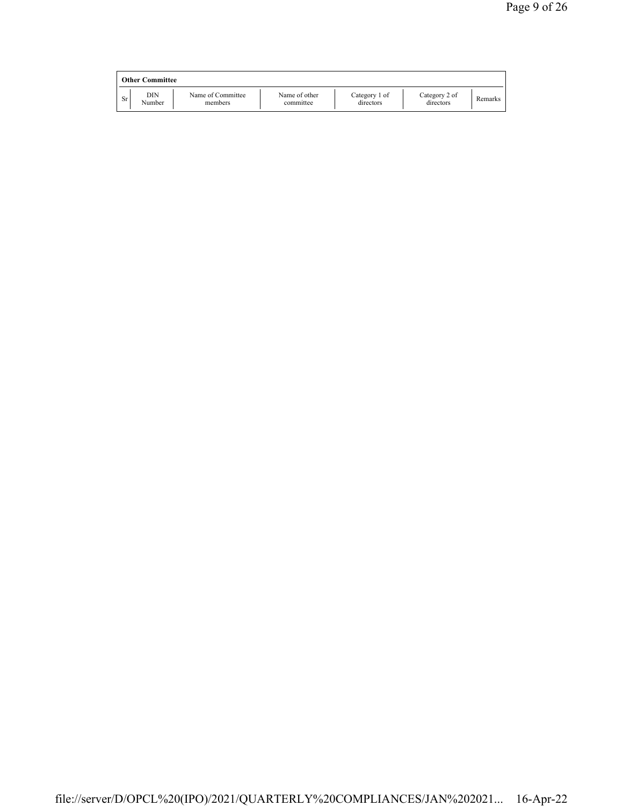|    | <b>Other Committee</b> |                              |                            |                            |                            |         |
|----|------------------------|------------------------------|----------------------------|----------------------------|----------------------------|---------|
| Sr | DIN<br>Number          | Name of Committee<br>members | Name of other<br>committee | Category 1 of<br>directors | Category 2 of<br>directors | Remarks |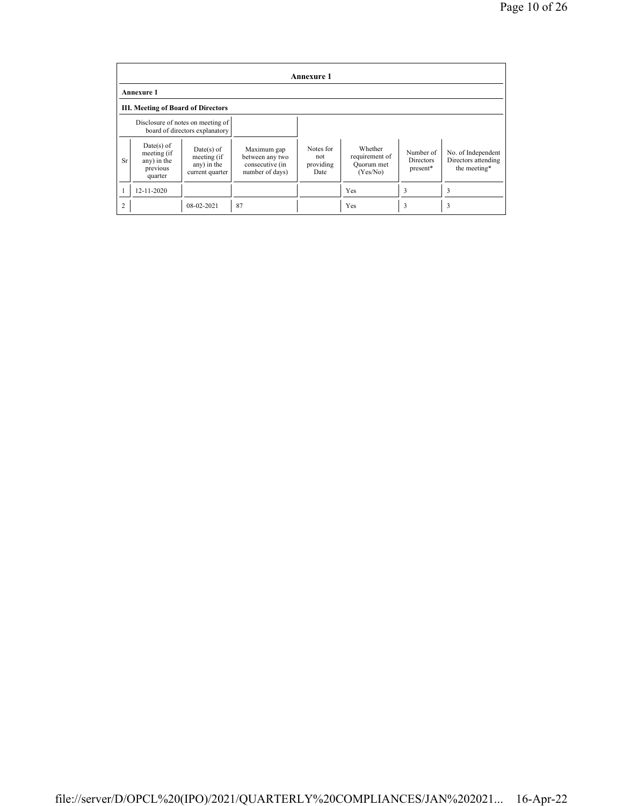|                | <b>Annexure 1</b>                                                   |                                                               |                                                                      |                                       |                                                     |                                           |                                                           |  |  |  |  |  |
|----------------|---------------------------------------------------------------------|---------------------------------------------------------------|----------------------------------------------------------------------|---------------------------------------|-----------------------------------------------------|-------------------------------------------|-----------------------------------------------------------|--|--|--|--|--|
|                | <b>Annexure 1</b>                                                   |                                                               |                                                                      |                                       |                                                     |                                           |                                                           |  |  |  |  |  |
|                | <b>III. Meeting of Board of Directors</b>                           |                                                               |                                                                      |                                       |                                                     |                                           |                                                           |  |  |  |  |  |
|                | Disclosure of notes on meeting of<br>board of directors explanatory |                                                               |                                                                      |                                       |                                                     |                                           |                                                           |  |  |  |  |  |
| <b>Sr</b>      | $Date(s)$ of<br>meeting (if<br>any) in the<br>previous<br>quarter   | $Date(s)$ of<br>meeting (if<br>any) in the<br>current quarter | Maximum gap<br>between any two<br>consecutive (in<br>number of days) | Notes for<br>not<br>providing<br>Date | Whether<br>requirement of<br>Quorum met<br>(Yes/No) | Number of<br><b>Directors</b><br>present* | No. of Independent<br>Directors attending<br>the meeting* |  |  |  |  |  |
|                | 12-11-2020                                                          |                                                               |                                                                      |                                       | Yes                                                 | 3                                         | 3                                                         |  |  |  |  |  |
| $\overline{2}$ |                                                                     | 08-02-2021                                                    | 87                                                                   |                                       | Yes                                                 | 3                                         | 3                                                         |  |  |  |  |  |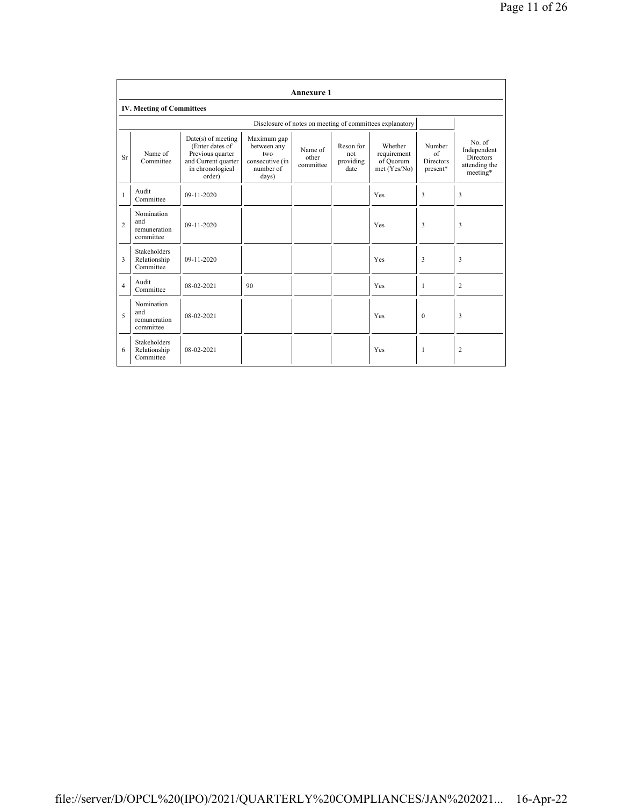|                | <b>Annexure 1</b>                                |                                                                                                                  |                                                                            |                               |                                       |                                                          |                                              |                                                                        |  |  |  |  |
|----------------|--------------------------------------------------|------------------------------------------------------------------------------------------------------------------|----------------------------------------------------------------------------|-------------------------------|---------------------------------------|----------------------------------------------------------|----------------------------------------------|------------------------------------------------------------------------|--|--|--|--|
|                | <b>IV. Meeting of Committees</b>                 |                                                                                                                  |                                                                            |                               |                                       |                                                          |                                              |                                                                        |  |  |  |  |
|                |                                                  |                                                                                                                  |                                                                            |                               |                                       | Disclosure of notes on meeting of committees explanatory |                                              |                                                                        |  |  |  |  |
| Sr             | Name of<br>Committee                             | $Date(s)$ of meeting<br>(Enter dates of<br>Previous quarter<br>and Current quarter<br>in chronological<br>order) | Maximum gap<br>between any<br>two<br>consecutive (in<br>number of<br>days) | Name of<br>other<br>committee | Reson for<br>not<br>providing<br>date | Whether<br>requirement<br>of Quorum<br>met (Yes/No)      | Number<br>of<br><b>Directors</b><br>present* | No. of<br>Independent<br><b>Directors</b><br>attending the<br>meeting* |  |  |  |  |
| $\mathbf{1}$   | Audit<br>Committee                               | 09-11-2020                                                                                                       |                                                                            |                               |                                       | Yes                                                      | 3                                            | 3                                                                      |  |  |  |  |
| $\overline{c}$ | Nomination<br>and<br>remuneration<br>committee   | $09 - 11 - 2020$                                                                                                 |                                                                            |                               |                                       | Yes                                                      | 3                                            | 3                                                                      |  |  |  |  |
| 3              | <b>Stakeholders</b><br>Relationship<br>Committee | 09-11-2020                                                                                                       |                                                                            |                               |                                       | Yes                                                      | 3                                            | 3                                                                      |  |  |  |  |
| $\overline{4}$ | Audit<br>Committee                               | 08-02-2021                                                                                                       | 90                                                                         |                               |                                       | Yes                                                      | 1                                            | 2                                                                      |  |  |  |  |
| 5              | Nomination<br>and<br>remuneration<br>committee   | 08-02-2021                                                                                                       |                                                                            |                               |                                       | Yes                                                      | $\mathbf{0}$                                 | 3                                                                      |  |  |  |  |
| 6              | <b>Stakeholders</b><br>Relationship<br>Committee | 08-02-2021                                                                                                       |                                                                            |                               |                                       | Yes                                                      | 1                                            | $\overline{c}$                                                         |  |  |  |  |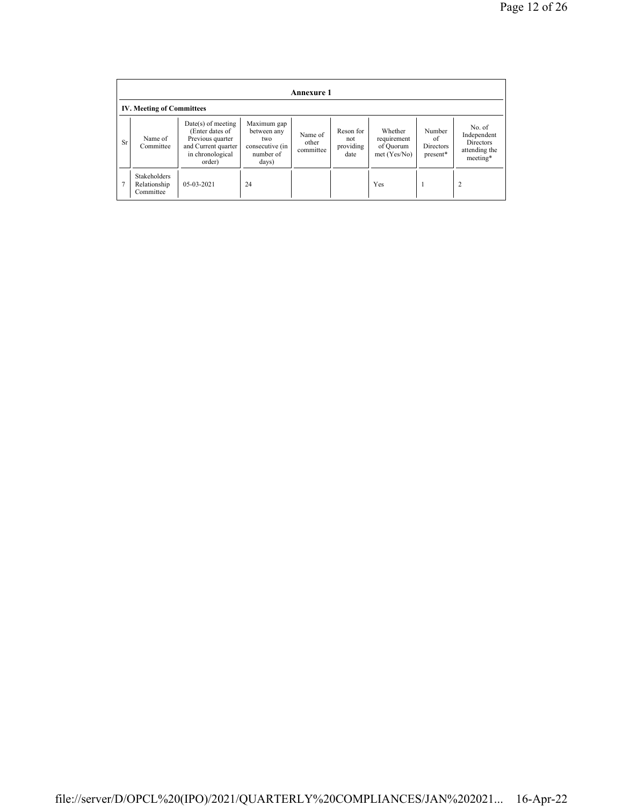|                | <b>Annexure 1</b>                                |                                                                                                                  |                                                                             |                               |                                       |                                                     |                                       |                                                                        |  |  |  |  |
|----------------|--------------------------------------------------|------------------------------------------------------------------------------------------------------------------|-----------------------------------------------------------------------------|-------------------------------|---------------------------------------|-----------------------------------------------------|---------------------------------------|------------------------------------------------------------------------|--|--|--|--|
|                | <b>IV. Meeting of Committees</b>                 |                                                                                                                  |                                                                             |                               |                                       |                                                     |                                       |                                                                        |  |  |  |  |
| <b>Sr</b>      | Name of<br>Committee                             | $Date(s)$ of meeting<br>(Enter dates of<br>Previous quarter<br>and Current quarter<br>in chronological<br>order) | Maximum gap<br>between any<br>two.<br>consecutive (in<br>number of<br>days) | Name of<br>other<br>committee | Reson for<br>not<br>providing<br>date | Whether<br>requirement<br>of Quorum<br>met (Yes/No) | Number<br>of<br>Directors<br>present* | No. of<br>Independent<br><b>Directors</b><br>attending the<br>meeting* |  |  |  |  |
| $\overline{7}$ | <b>Stakeholders</b><br>Relationship<br>Committee | 05-03-2021                                                                                                       | 24                                                                          |                               |                                       | Yes                                                 |                                       | 2                                                                      |  |  |  |  |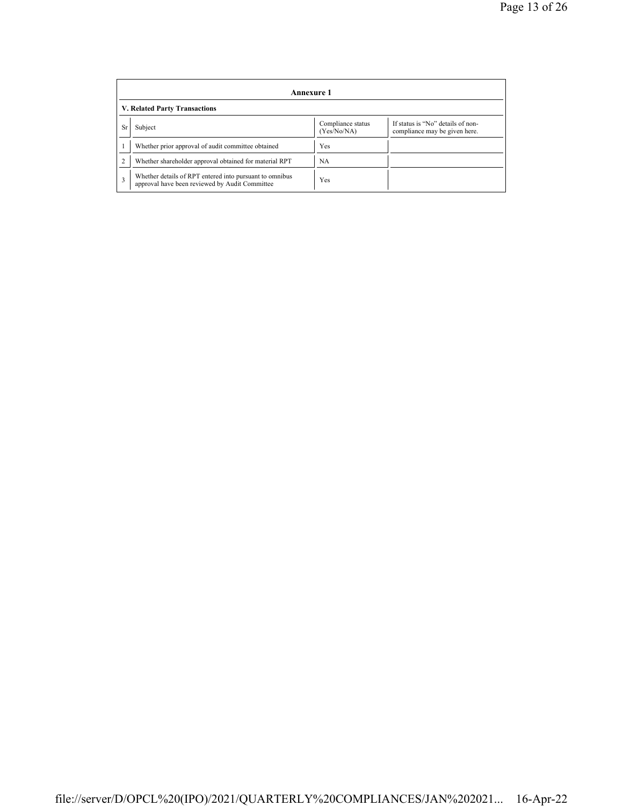|           | Annexure 1                                                                                                |                                  |                                                                    |  |  |  |
|-----------|-----------------------------------------------------------------------------------------------------------|----------------------------------|--------------------------------------------------------------------|--|--|--|
|           | <b>V. Related Party Transactions</b>                                                                      |                                  |                                                                    |  |  |  |
| <b>Sr</b> | Subject                                                                                                   | Compliance status<br>(Yes/No/NA) | If status is "No" details of non-<br>compliance may be given here. |  |  |  |
|           | Whether prior approval of audit committee obtained                                                        | Yes                              |                                                                    |  |  |  |
|           | Whether shareholder approval obtained for material RPT                                                    | NA                               |                                                                    |  |  |  |
| 3         | Whether details of RPT entered into pursuant to omnibus<br>approval have been reviewed by Audit Committee | Yes                              |                                                                    |  |  |  |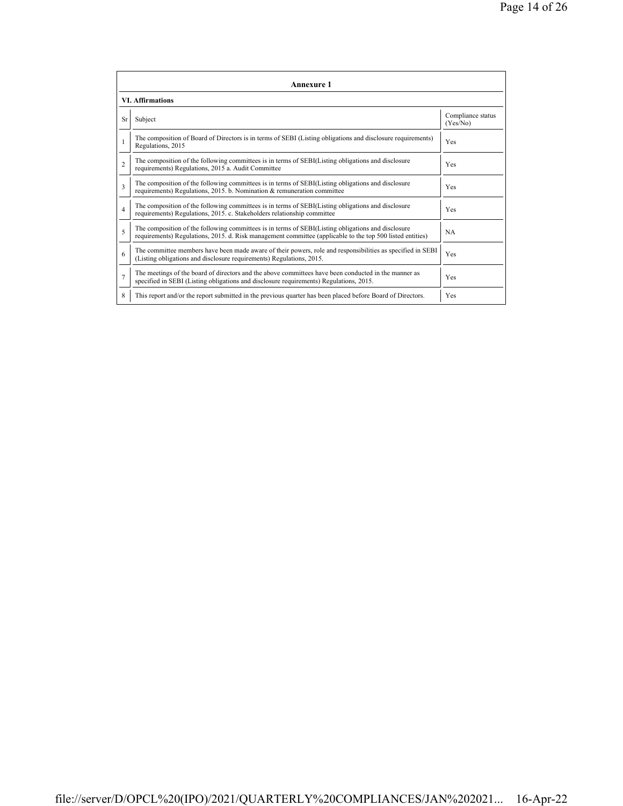|                | Annexure 1                                                                                                                                                                                                      |                               |  |  |  |  |
|----------------|-----------------------------------------------------------------------------------------------------------------------------------------------------------------------------------------------------------------|-------------------------------|--|--|--|--|
|                | <b>VI. Affirmations</b>                                                                                                                                                                                         |                               |  |  |  |  |
| Sr             | Subject                                                                                                                                                                                                         | Compliance status<br>(Yes/No) |  |  |  |  |
|                | The composition of Board of Directors is in terms of SEBI (Listing obligations and disclosure requirements)<br>Regulations, 2015                                                                                | Yes                           |  |  |  |  |
| $\mathfrak{D}$ | The composition of the following committees is in terms of SEBI(Listing obligations and disclosure<br>requirements) Regulations, 2015 a. Audit Committee                                                        | <b>Yes</b>                    |  |  |  |  |
| 3              | The composition of the following committees is in terms of SEBI(Listing obligations and disclosure<br>requirements) Regulations, 2015. b. Nomination & remuneration committee                                   | <b>Yes</b>                    |  |  |  |  |
| $\overline{4}$ | The composition of the following committees is in terms of SEBI(Listing obligations and disclosure<br>requirements) Regulations, 2015. c. Stakeholders relationship committee                                   | Yes                           |  |  |  |  |
| 5              | The composition of the following committees is in terms of SEBI(Listing obligations and disclosure<br>requirements) Regulations, 2015. d. Risk management committee (applicable to the top 500 listed entities) | <b>NA</b>                     |  |  |  |  |
| 6              | The committee members have been made aware of their powers, role and responsibilities as specified in SEBI<br>(Listing obligations and disclosure requirements) Regulations, 2015.                              | Yes                           |  |  |  |  |
| $\overline{7}$ | The meetings of the board of directors and the above committees have been conducted in the manner as<br>specified in SEBI (Listing obligations and disclosure requirements) Regulations, 2015.                  | Yes                           |  |  |  |  |
| 8              | This report and/or the report submitted in the previous quarter has been placed before Board of Directors.                                                                                                      | Yes                           |  |  |  |  |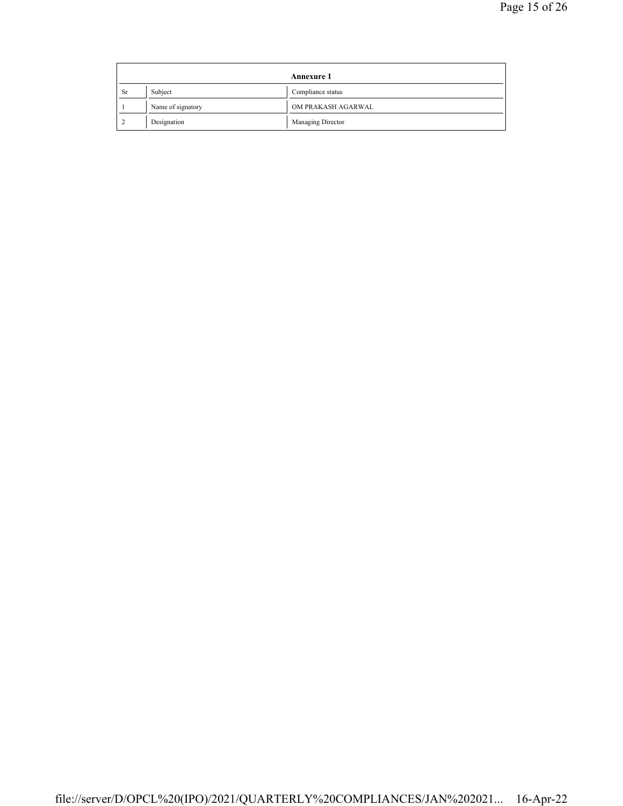| Annexure 1 |                   |                    |  |
|------------|-------------------|--------------------|--|
| <b>Sr</b>  | Subject           | Compliance status  |  |
|            | Name of signatory | OM PRAKASH AGARWAL |  |
|            | Designation       | Managing Director  |  |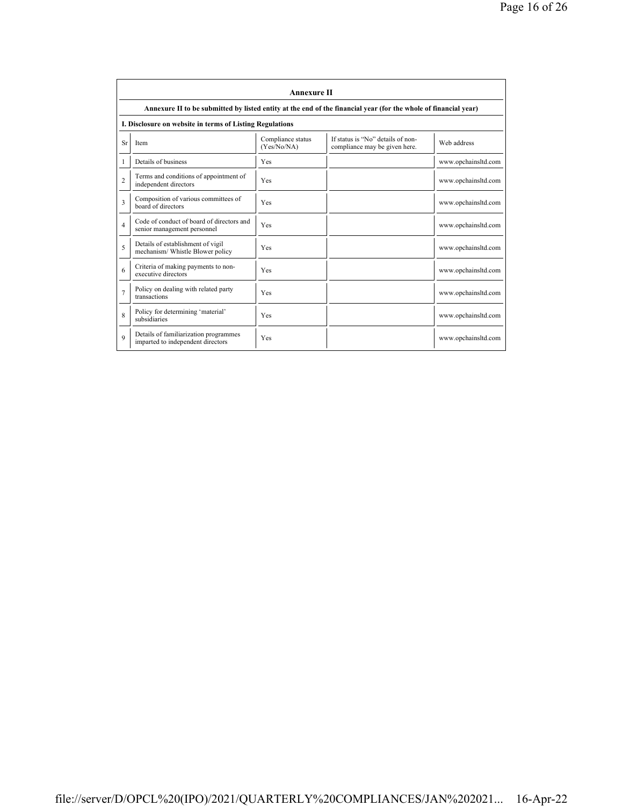|                | <b>Annexure II</b>                                                                                              |                                  |                                                                    |                     |  |
|----------------|-----------------------------------------------------------------------------------------------------------------|----------------------------------|--------------------------------------------------------------------|---------------------|--|
|                | Annexure II to be submitted by listed entity at the end of the financial year (for the whole of financial year) |                                  |                                                                    |                     |  |
|                | I. Disclosure on website in terms of Listing Regulations                                                        |                                  |                                                                    |                     |  |
| Sr             | Item                                                                                                            | Compliance status<br>(Yes/No/NA) | If status is "No" details of non-<br>compliance may be given here. | Web address         |  |
| 1              | Details of business                                                                                             | Yes                              |                                                                    | www.opchainsltd.com |  |
| $\overline{c}$ | Terms and conditions of appointment of<br>independent directors                                                 | Yes                              |                                                                    | www.opchainsltd.com |  |
| $\mathbf{3}$   | Composition of various committees of<br>board of directors                                                      | Yes                              |                                                                    | www.opchainsltd.com |  |
| $\overline{4}$ | Code of conduct of board of directors and<br>senior management personnel                                        | Yes                              |                                                                    | www.opchainsltd.com |  |
| 5              | Details of establishment of vigil<br>mechanism/ Whistle Blower policy                                           | Yes                              |                                                                    | www.opchainsltd.com |  |
| 6              | Criteria of making payments to non-<br>executive directors                                                      | Yes                              |                                                                    | www.opchainsltd.com |  |
| $\overline{7}$ | Policy on dealing with related party<br>transactions                                                            | Yes                              |                                                                    | www.opchainsltd.com |  |
| 8              | Policy for determining 'material'<br>subsidiaries                                                               | Yes                              |                                                                    | www.opchainsltd.com |  |
| $\mathbf Q$    | Details of familiarization programmes<br>imparted to independent directors                                      | Yes                              |                                                                    | www.opchainsltd.com |  |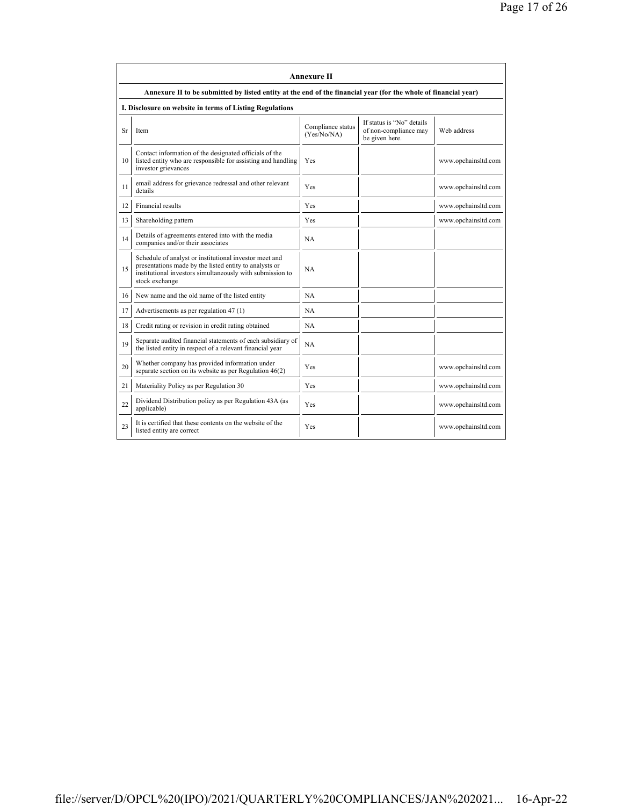|           | <b>Annexure II</b>                                                                                                                                                                              |                                  |                                                                      |                     |  |
|-----------|-------------------------------------------------------------------------------------------------------------------------------------------------------------------------------------------------|----------------------------------|----------------------------------------------------------------------|---------------------|--|
|           | Annexure II to be submitted by listed entity at the end of the financial year (for the whole of financial year)                                                                                 |                                  |                                                                      |                     |  |
|           | I. Disclosure on website in terms of Listing Regulations                                                                                                                                        |                                  |                                                                      |                     |  |
| <b>Sr</b> | Item                                                                                                                                                                                            | Compliance status<br>(Yes/No/NA) | If status is "No" details<br>of non-compliance may<br>be given here. | Web address         |  |
| 10        | Contact information of the designated officials of the<br>listed entity who are responsible for assisting and handling<br>investor grievances                                                   | Yes                              |                                                                      | www.opchainsltd.com |  |
| 11        | email address for grievance redressal and other relevant<br>details                                                                                                                             | Yes                              |                                                                      | www.opchainsltd.com |  |
| 12        | Financial results                                                                                                                                                                               | Yes                              |                                                                      | www.opchainsltd.com |  |
| 13        | Shareholding pattern                                                                                                                                                                            | Yes                              |                                                                      | www.opchainsltd.com |  |
| 14        | Details of agreements entered into with the media<br>companies and/or their associates                                                                                                          | <b>NA</b>                        |                                                                      |                     |  |
| 15        | Schedule of analyst or institutional investor meet and<br>presentations made by the listed entity to analysts or<br>institutional investors simultaneously with submission to<br>stock exchange | <b>NA</b>                        |                                                                      |                     |  |
| 16        | New name and the old name of the listed entity                                                                                                                                                  | <b>NA</b>                        |                                                                      |                     |  |
| 17        | Advertisements as per regulation 47 (1)                                                                                                                                                         | <b>NA</b>                        |                                                                      |                     |  |
| 18        | Credit rating or revision in credit rating obtained                                                                                                                                             | <b>NA</b>                        |                                                                      |                     |  |
| 19        | Separate audited financial statements of each subsidiary of<br>the listed entity in respect of a relevant financial year                                                                        | NA                               |                                                                      |                     |  |
| 20        | Whether company has provided information under<br>separate section on its website as per Regulation $46(2)$                                                                                     | Yes                              |                                                                      | www.opchainsltd.com |  |
| 21        | Materiality Policy as per Regulation 30                                                                                                                                                         | Yes                              |                                                                      | www.opchainsltd.com |  |
| 22        | Dividend Distribution policy as per Regulation 43A (as<br>applicable)                                                                                                                           | <b>Yes</b>                       |                                                                      | www.opchainsltd.com |  |
| 23        | It is certified that these contents on the website of the<br>listed entity are correct                                                                                                          | Yes                              |                                                                      | www.opchainsltd.com |  |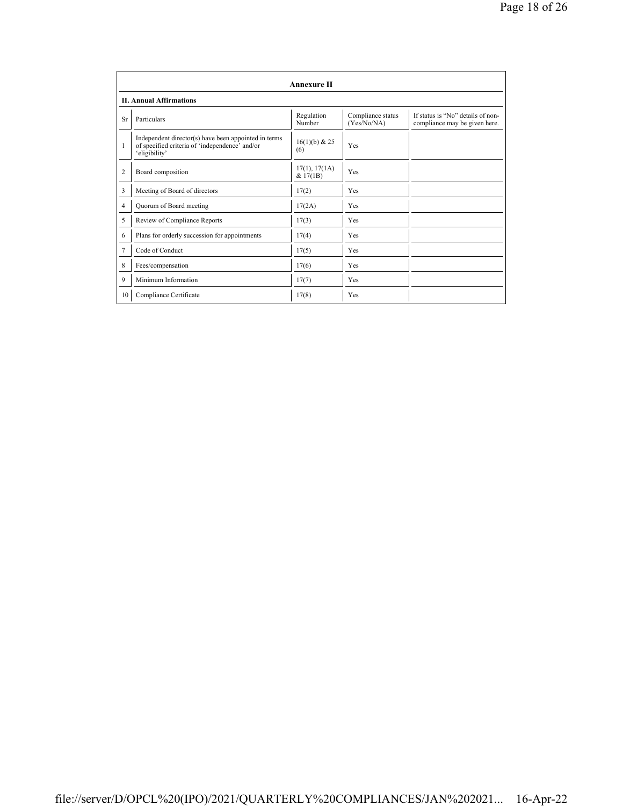|                | <b>Annexure II</b>                                                                                                      |                           |                                  |                                                                    |  |  |
|----------------|-------------------------------------------------------------------------------------------------------------------------|---------------------------|----------------------------------|--------------------------------------------------------------------|--|--|
|                | <b>II. Annual Affirmations</b>                                                                                          |                           |                                  |                                                                    |  |  |
| <b>Sr</b>      | Particulars                                                                                                             | Regulation<br>Number      | Compliance status<br>(Yes/No/NA) | If status is "No" details of non-<br>compliance may be given here. |  |  |
| 1              | Independent director(s) have been appointed in terms<br>of specified criteria of 'independence' and/or<br>'eligibility' | 16(1)(b) & 25<br>(6)      | Yes                              |                                                                    |  |  |
| $\overline{c}$ | Board composition                                                                                                       | 17(1), 17(1A)<br>& 17(1B) | Yes                              |                                                                    |  |  |
| 3              | Meeting of Board of directors                                                                                           | 17(2)                     | Yes                              |                                                                    |  |  |
| $\overline{4}$ | Quorum of Board meeting                                                                                                 | 17(2A)                    | Yes                              |                                                                    |  |  |
| 5              | Review of Compliance Reports                                                                                            | 17(3)                     | Yes                              |                                                                    |  |  |
| 6              | Plans for orderly succession for appointments                                                                           | 17(4)                     | Yes                              |                                                                    |  |  |
| 7              | Code of Conduct                                                                                                         | 17(5)                     | Yes                              |                                                                    |  |  |
| 8              | Fees/compensation                                                                                                       | 17(6)                     | Yes                              |                                                                    |  |  |
| 9              | Minimum Information                                                                                                     | 17(7)                     | Yes                              |                                                                    |  |  |
| 10             | Compliance Certificate                                                                                                  | 17(8)                     | Yes                              |                                                                    |  |  |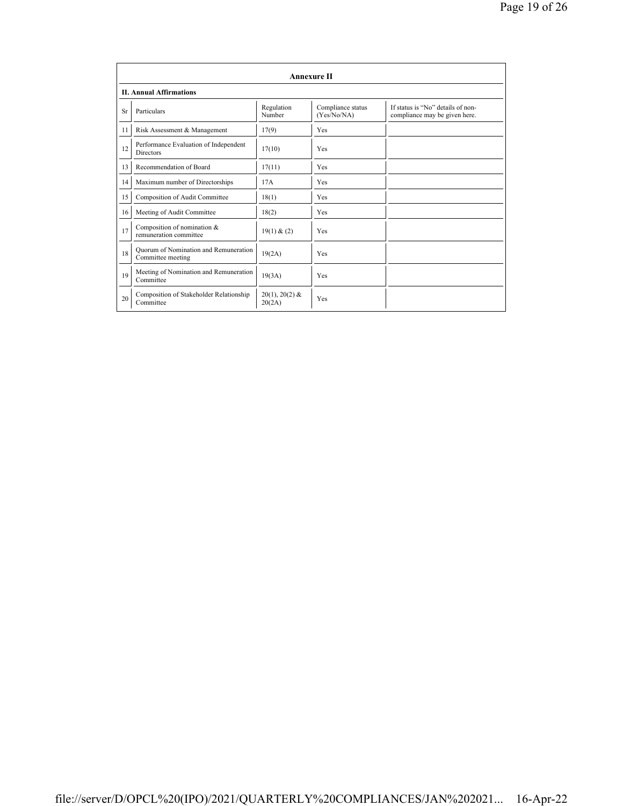|           | Annexure II                                                |                            |                                  |                                                                    |  |
|-----------|------------------------------------------------------------|----------------------------|----------------------------------|--------------------------------------------------------------------|--|
|           | <b>II. Annual Affirmations</b>                             |                            |                                  |                                                                    |  |
| <b>Sr</b> | Particulars                                                | Regulation<br>Number       | Compliance status<br>(Yes/No/NA) | If status is "No" details of non-<br>compliance may be given here. |  |
| 11        | Risk Assessment & Management                               | 17(9)                      | Yes                              |                                                                    |  |
| 12        | Performance Evaluation of Independent<br><b>Directors</b>  | 17(10)                     | Yes                              |                                                                    |  |
| 13        | Recommendation of Board                                    | 17(11)                     | Yes                              |                                                                    |  |
| 14        | Maximum number of Directorships                            | 17A                        | Yes                              |                                                                    |  |
| 15        | Composition of Audit Committee                             | 18(1)                      | Yes                              |                                                                    |  |
| 16        | Meeting of Audit Committee                                 | 18(2)                      | Yes                              |                                                                    |  |
| 17        | Composition of nomination &<br>remuneration committee      | 19(1) & (2)                | Yes                              |                                                                    |  |
| 18        | Ouorum of Nomination and Remuneration<br>Committee meeting | 19(2A)                     | Yes                              |                                                                    |  |
| 19        | Meeting of Nomination and Remuneration<br>Committee        | 19(3A)                     | Yes                              |                                                                    |  |
| 20        | Composition of Stakeholder Relationship<br>Committee       | $20(1), 20(2)$ &<br>20(2A) | Yes                              |                                                                    |  |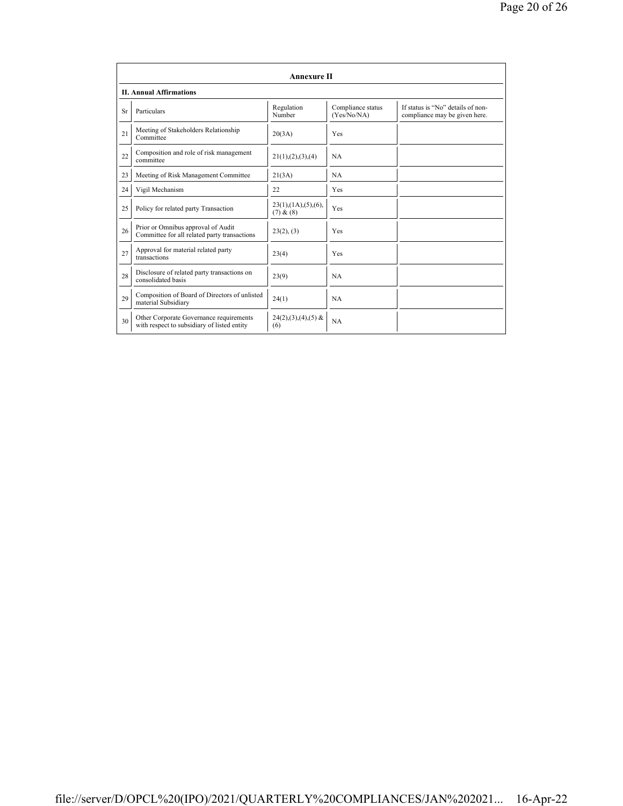|           | Annexure II                                                                            |                                                 |                                  |                                                                    |  |  |
|-----------|----------------------------------------------------------------------------------------|-------------------------------------------------|----------------------------------|--------------------------------------------------------------------|--|--|
|           | <b>II. Annual Affirmations</b>                                                         |                                                 |                                  |                                                                    |  |  |
| <b>Sr</b> | Particulars                                                                            | Regulation<br>Number                            | Compliance status<br>(Yes/No/NA) | If status is "No" details of non-<br>compliance may be given here. |  |  |
| 21        | Meeting of Stakeholders Relationship<br>Committee                                      | 20(3A)                                          | Yes                              |                                                                    |  |  |
| 22        | Composition and role of risk management<br>committee                                   | 21(1), (2), (3), (4)                            | <b>NA</b>                        |                                                                    |  |  |
| 23        | Meeting of Risk Management Committee                                                   | 21(3A)                                          | <b>NA</b>                        |                                                                    |  |  |
| 24        | Vigil Mechanism                                                                        | 22                                              | Yes                              |                                                                    |  |  |
| 25        | Policy for related party Transaction                                                   | $23(1)$ , $(1A)$ , $(5)$ , $(6)$ ,<br>(7) & (8) | Yes                              |                                                                    |  |  |
| 26        | Prior or Omnibus approval of Audit<br>Committee for all related party transactions     | 23(2), (3)                                      | Yes                              |                                                                    |  |  |
| 27        | Approval for material related party<br>transactions                                    | 23(4)                                           | Yes                              |                                                                    |  |  |
| 28        | Disclosure of related party transactions on<br>consolidated basis                      | 23(9)                                           | <b>NA</b>                        |                                                                    |  |  |
| 29        | Composition of Board of Directors of unlisted<br>material Subsidiary                   | 24(1)                                           | <b>NA</b>                        |                                                                    |  |  |
| 30        | Other Corporate Governance requirements<br>with respect to subsidiary of listed entity | $24(2),(3),(4),(5)$ &<br>(6)                    | <b>NA</b>                        |                                                                    |  |  |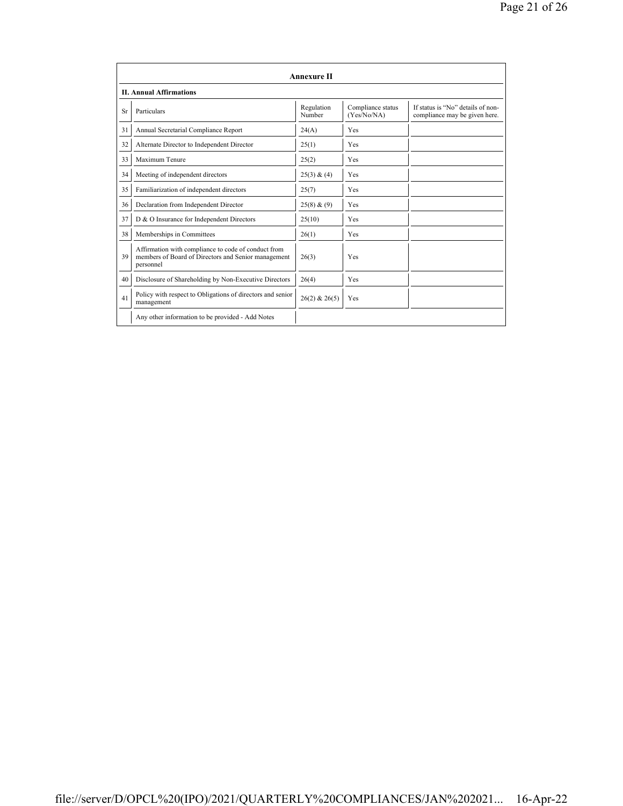|    | <b>Annexure II</b>                                                                                                      |                      |                                  |                                                                    |  |  |
|----|-------------------------------------------------------------------------------------------------------------------------|----------------------|----------------------------------|--------------------------------------------------------------------|--|--|
|    | <b>II. Annual Affirmations</b>                                                                                          |                      |                                  |                                                                    |  |  |
| Sr | Particulars                                                                                                             | Regulation<br>Number | Compliance status<br>(Yes/No/NA) | If status is "No" details of non-<br>compliance may be given here. |  |  |
| 31 | Annual Secretarial Compliance Report                                                                                    | 24(A)                | Yes                              |                                                                    |  |  |
| 32 | Alternate Director to Independent Director                                                                              | 25(1)                | Yes                              |                                                                    |  |  |
| 33 | Maximum Tenure                                                                                                          | 25(2)                | Yes                              |                                                                    |  |  |
| 34 | Meeting of independent directors                                                                                        | 25(3) & (4)          | Yes                              |                                                                    |  |  |
| 35 | Familiarization of independent directors                                                                                | 25(7)                | Yes                              |                                                                    |  |  |
| 36 | Declaration from Independent Director                                                                                   | 25(8) & (9)          | Yes                              |                                                                    |  |  |
| 37 | D & O Insurance for Independent Directors                                                                               | 25(10)               | Yes                              |                                                                    |  |  |
| 38 | Memberships in Committees                                                                                               | 26(1)                | Yes                              |                                                                    |  |  |
| 39 | Affirmation with compliance to code of conduct from<br>members of Board of Directors and Senior management<br>personnel | 26(3)                | Yes                              |                                                                    |  |  |
| 40 | Disclosure of Shareholding by Non-Executive Directors                                                                   | 26(4)                | Yes                              |                                                                    |  |  |
| 41 | Policy with respect to Obligations of directors and senior<br>management                                                | $26(2)$ & $26(5)$    | Yes                              |                                                                    |  |  |
|    | Any other information to be provided - Add Notes                                                                        |                      |                                  |                                                                    |  |  |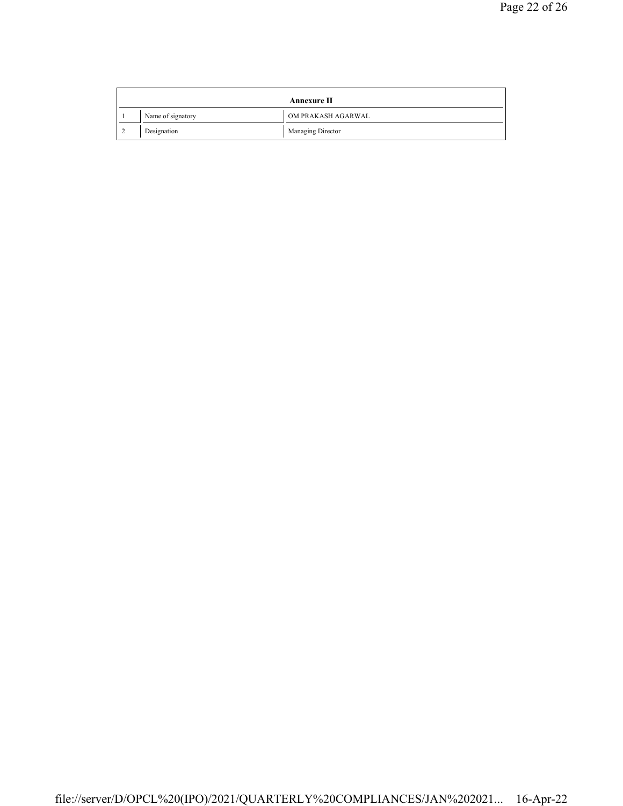| Annexure II |                   |  |                    |
|-------------|-------------------|--|--------------------|
|             | Name of signatory |  | OM PRAKASH AGARWAL |
|             | Designation       |  | Managing Director  |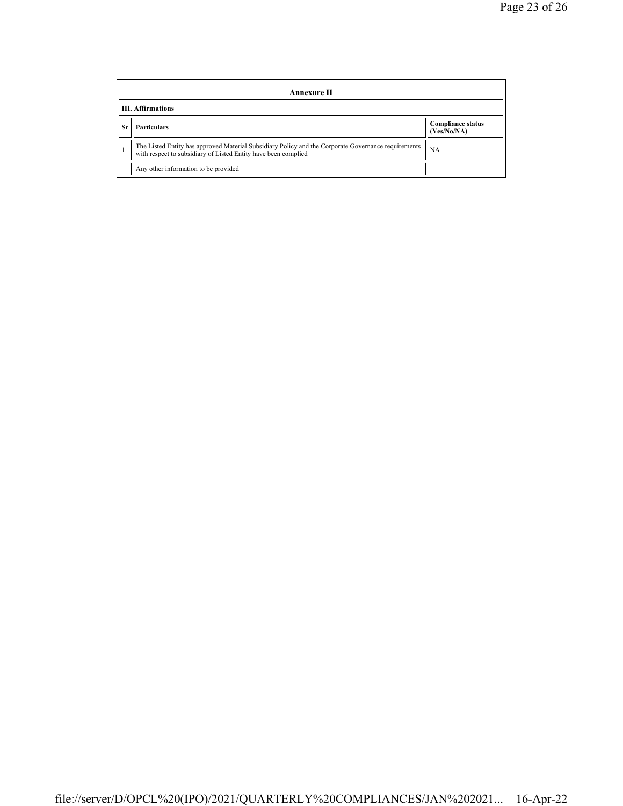|    | Annexure II                                                                                                                                                           |                                         |  |  |  |
|----|-----------------------------------------------------------------------------------------------------------------------------------------------------------------------|-----------------------------------------|--|--|--|
|    | <b>III.</b> Affirmations                                                                                                                                              |                                         |  |  |  |
| Sr | <b>Particulars</b>                                                                                                                                                    | <b>Compliance status</b><br>(Yes/No/NA) |  |  |  |
|    | The Listed Entity has approved Material Subsidiary Policy and the Corporate Governance requirements<br>with respect to subsidiary of Listed Entity have been complied | NА                                      |  |  |  |
|    | Any other information to be provided                                                                                                                                  |                                         |  |  |  |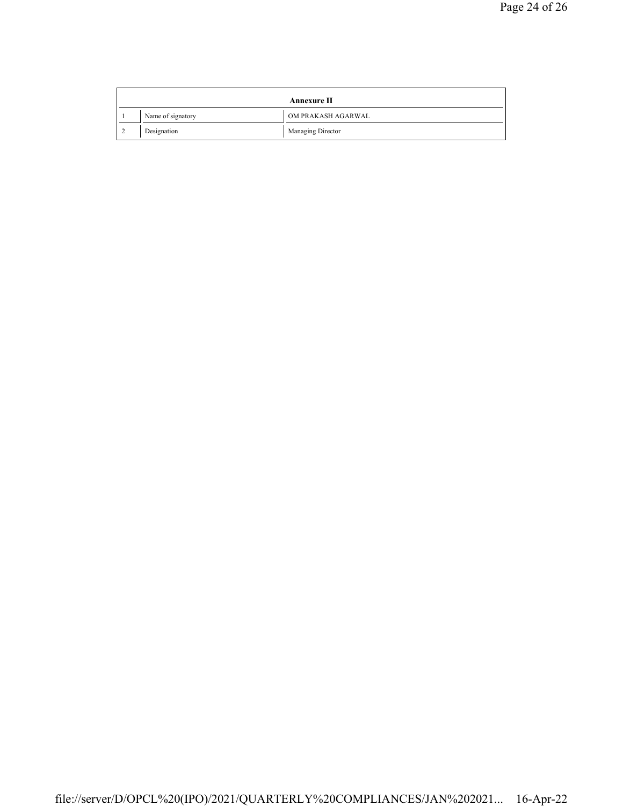| <b>Annexure II</b> |                   |                    |  |
|--------------------|-------------------|--------------------|--|
|                    | Name of signatory | OM PRAKASH AGARWAL |  |
|                    | Designation       | Managing Director  |  |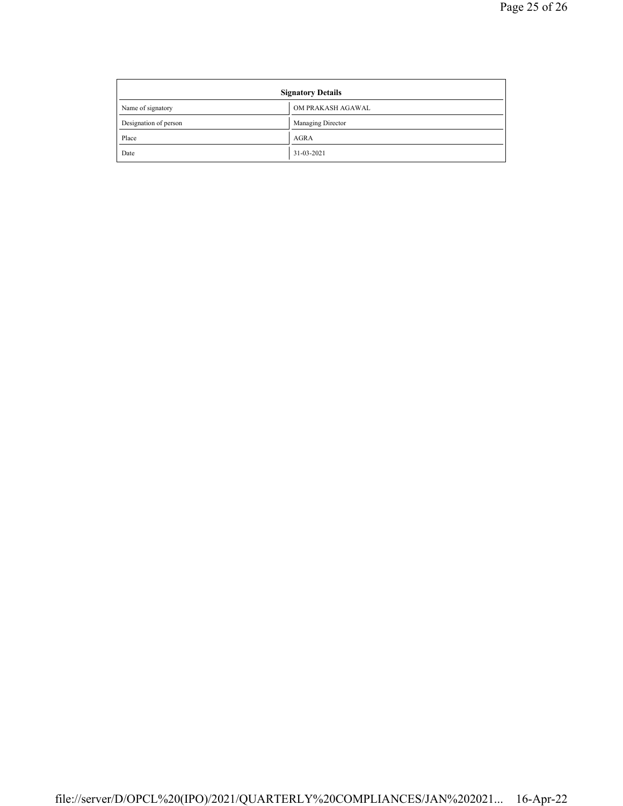| <b>Signatory Details</b> |                   |
|--------------------------|-------------------|
| Name of signatory        | OM PRAKASH AGAWAL |
| Designation of person    | Managing Director |
| Place                    | <b>AGRA</b>       |
| Date                     | 31-03-2021        |